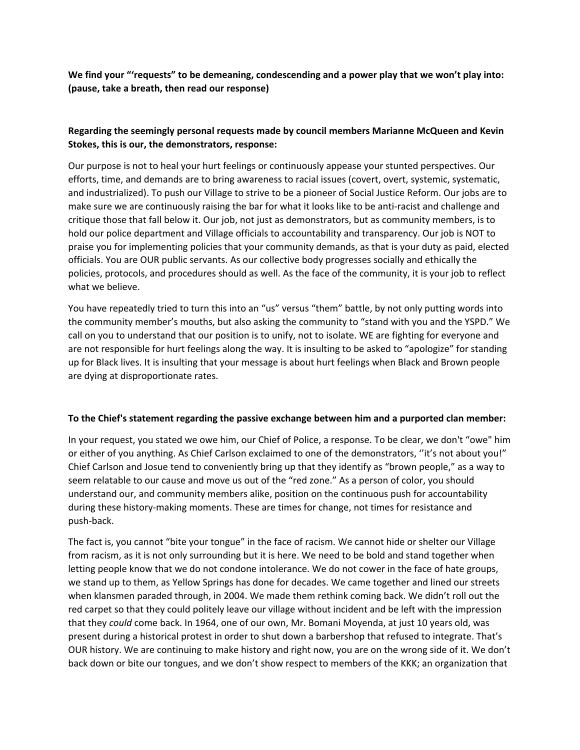**We find your "'requests" to be demeaning, condescending and a power play that we won't play into: (pause, take a breath, then read our response)**

## **Regarding the seemingly personal requests made by council members Marianne McQueen and Kevin Stokes, this is our, the demonstrators, response:**

Our purpose is not to heal your hurt feelings or continuously appease your stunted perspectives. Our efforts, time, and demands are to bring awareness to racial issues (covert, overt, systemic, systematic, and industrialized). To push our Village to strive to be a pioneer of Social Justice Reform. Our jobs are to make sure we are continuously raising the bar for what it looks like to be anti-racist and challenge and critique those that fall below it. Our job, not just as demonstrators, but as community members, is to hold our police department and Village officials to accountability and transparency. Our job is NOT to praise you for implementing policies that your community demands, as that is your duty as paid, elected officials. You are OUR public servants. As our collective body progresses socially and ethically the policies, protocols, and procedures should as well. As the face of the community, it is your job to reflect what we believe.

You have repeatedly tried to turn this into an "us" versus "them" battle, by not only putting words into the community member's mouths, but also asking the community to "stand with you and the YSPD." We call on you to understand that our position is to unify, not to isolate. WE are fighting for everyone and are not responsible for hurt feelings along the way. It is insulting to be asked to "apologize" for standing up for Black lives. It is insulting that your message is about hurt feelings when Black and Brown people are dying at disproportionate rates.

## **To the Chief's statement regarding the passive exchange between him and a purported clan member:**

In your request, you stated we owe him, our Chief of Police, a response. To be clear, we don't "owe" him or either of you anything. As Chief Carlson exclaimed to one of the demonstrators, ''it's not about you!" Chief Carlson and Josue tend to conveniently bring up that they identify as "brown people," as a way to seem relatable to our cause and move us out of the "red zone." As a person of color, you should understand our, and community members alike, position on the continuous push for accountability during these history-making moments. These are times for change, not times for resistance and push-back.

The fact is, you cannot "bite your tongue" in the face of racism. We cannot hide or shelter our Village from racism, as it is not only surrounding but it is here. We need to be bold and stand together when letting people know that we do not condone intolerance. We do not cower in the face of hate groups, we stand up to them, as Yellow Springs has done for decades. We came together and lined our streets when klansmen paraded through, in 2004. We made them rethink coming back. We didn't roll out the red carpet so that they could politely leave our village without incident and be left with the impression that they *could* come back. In 1964, one of our own, Mr. Bomani Moyenda, at just 10 years old, was present during a historical protest in order to shut down a barbershop that refused to integrate. That's OUR history. We are continuing to make history and right now, you are on the wrong side of it. We don't back down or bite our tongues, and we don't show respect to members of the KKK; an organization that